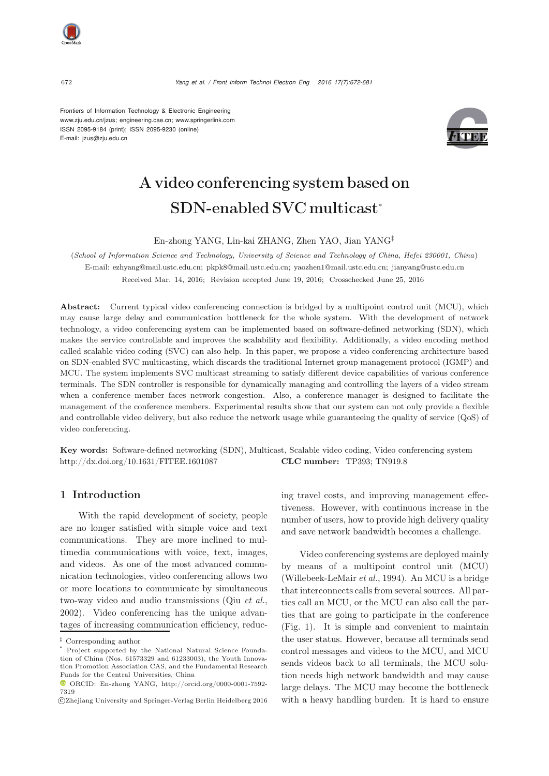<sup>672</sup> *Yang et al. / Front Inform Technol Electron Eng 2016 17(7):672-681*

Frontiers of Information Technology & Electronic Engineering www.zju.edu.cn/jzus; engineering.cae.cn; www.springerlink.com ISSN 2095-9184 (print); ISSN 2095-9230 (online) E-mail: jzus@zju.edu.cn



# A video conferencing system based on SDN-enabled SVC multicast<sup>∗</sup>

En-zhong YANG, Lin-kai ZHANG, Zhen YAO, Jian YANG*‡*

(*School of Information Science and Technology, University of Science and Technology of China, Hefei 230001, China*) E-mail: ezhyang@mail.ustc.edu.cn; pkpk8@mail.ustc.edu.cn; yaozhen1@mail.ustc.edu.cn; jianyang@ustc.edu.cn Received Mar. 14, 2016; Revision accepted June 19, 2016; Crosschecked June 25, 2016

Abstract: Current typical video conferencing connection is bridged by a multipoint control unit (MCU), which may cause large delay and communication bottleneck for the whole system. With the development of network technology, a video conferencing system can be implemented based on software-defined networking (SDN), which makes the service controllable and improves the scalability and flexibility. Additionally, a video encoding method called scalable video coding (SVC) can also help. In this paper, we propose a video conferencing architecture based on SDN-enabled SVC multicasting, which discards the traditional Internet group management protocol (IGMP) and MCU. The system implements SVC multicast streaming to satisfy different device capabilities of various conference terminals. The SDN controller is responsible for dynamically managing and controlling the layers of a video stream when a conference member faces network congestion. Also, a conference manager is designed to facilitate the management of the conference members. Experimental results show that our system can not only provide a flexible and controllable video delivery, but also reduce the network usage while guaranteeing the quality of service (QoS) of video conferencing.

Key words: Software-defined networking (SDN), Multicast, Scalable video coding, Video conferencing system http://dx.doi.org/10.1631/FITEE.1601087 CLC number: TP393; TN919.8

# 1 Introduction

With the rapid development of society, people are no longer satisfied with simple voice and text communications. They are more inclined to multimedia communications with voice, text, images, and videos. As one of the most advanced communication technologies, video conferencing allows two or more locations to communicate by simultaneous two-way video and audio transmissions (Qiu *[et al.](#page-9-0)*, [2002](#page-9-0)). Video conferencing has the unique advantages of increasing communication efficiency, reducing travel costs, and improving management effectiveness. However, with continuous increase in the number of users, how to provide high delivery quality and save network bandwidth becomes a challenge.

Video conferencing systems are deployed mainly by means of a multipoint control unit (MCU) [\(Willebeek-LeMair](#page-9-1) *et al.*, [1994](#page-9-1)). An MCU is a bridge that interconnects calls from several sources. All parties call an MCU, or the MCU can also call the parties that are going to participate in the conference (Fig. [1\)](#page-1-0). It is simple and convenient to maintain the user status. However, because all terminals send control messages and videos to the MCU, and MCU sends videos back to all terminals, the MCU solution needs high network bandwidth and may cause large delays. The MCU may become the bottleneck with a heavy handling burden. It is hard to ensure



*<sup>‡</sup>* Corresponding author

<sup>\*</sup> Project supported by the National Natural Science Foundation of China (Nos. 61573329 and 61233003), the Youth Innovation Promotion Association CAS, and the Fundamental Research Funds for the Central Universities, China

ORCID: En-zhong YANG, http://orcid.org/0000-0001-7592- 7319

c Zhejiang University and Springer-Verlag Berlin Heidelberg 2016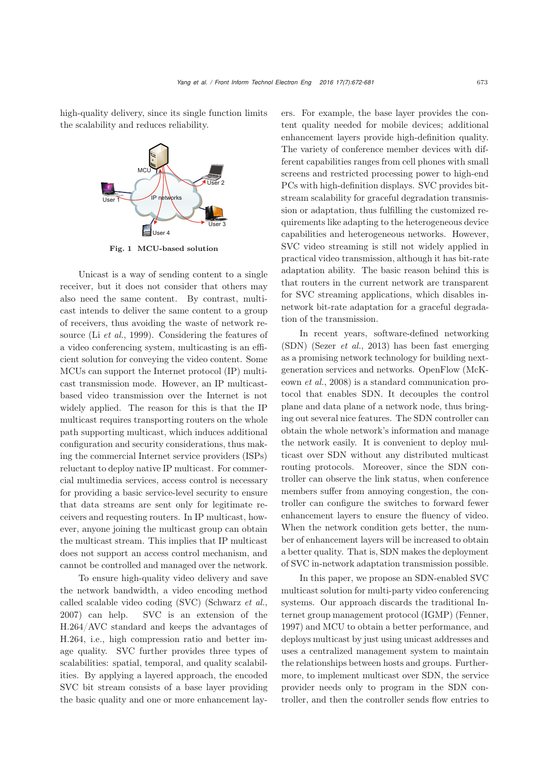high-quality delivery, since its single function limits the scalability and reduces reliability.



<span id="page-1-0"></span>Fig. 1 MCU-based solution

Unicast is a way of sending content to a single receiver, but it does not consider that others may also need the same content. By contrast, multicast intends to deliver the same content to a group of receivers, thus avoiding the waste of network resource (Li *[et al.](#page-9-2)*, [1999\)](#page-9-2). Considering the features of a video conferencing system, multicasting is an efficient solution for conveying the video content. Some MCUs can support the Internet protocol (IP) multicast transmission mode. However, an IP multicastbased video transmission over the Internet is not widely applied. The reason for this is that the IP multicast requires transporting routers on the whole path supporting multicast, which induces additional configuration and security considerations, thus making the commercial Internet service providers (ISPs) reluctant to deploy native IP multicast. For commercial multimedia services, access control is necessary for providing a basic service-level security to ensure that data streams are sent only for legitimate receivers and requesting routers. In IP multicast, however, anyone joining the multicast group can obtain the multicast stream. This implies that IP multicast does not support an access control mechanism, and cannot be controlled and managed over the network.

To ensure high-quality video delivery and save the network bandwidth, a video encoding method called scalable video coding (SVC) [\(Schwarz](#page-9-3) *et al.*, [2007](#page-9-3)) can help. SVC is an extension of the H.264/AVC standard and keeps the advantages of H.264, i.e., high compression ratio and better image quality. SVC further provides three types of scalabilities: spatial, temporal, and quality scalabilities. By applying a layered approach, the encoded SVC bit stream consists of a base layer providing the basic quality and one or more enhancement layers. For example, the base layer provides the content quality needed for mobile devices; additional enhancement layers provide high-definition quality. The variety of conference member devices with different capabilities ranges from cell phones with small screens and restricted processing power to high-end PCs with high-definition displays. SVC provides bitstream scalability for graceful degradation transmission or adaptation, thus fulfilling the customized requirements like adapting to the heterogeneous device capabilities and heterogeneous networks. However, SVC video streaming is still not widely applied in practical video transmission, although it has bit-rate adaptation ability. The basic reason behind this is that routers in the current network are transparent for SVC streaming applications, which disables innetwork bit-rate adaptation for a graceful degradation of the transmission.

In recent years, software-defined networking (SDN) [\(Sezer](#page-9-4) *et al.*, [2013](#page-9-4)) has been fast emerging as a promising network technology for building nextgeneration [services](#page-9-5) [and](#page-9-5) [networks.](#page-9-5) [OpenFlow](#page-9-5) [\(](#page-9-5)McKeown *et al.*, [2008\)](#page-9-5) is a standard communication protocol that enables SDN. It decouples the control plane and data plane of a network node, thus bringing out several nice features. The SDN controller can obtain the whole network's information and manage the network easily. It is convenient to deploy multicast over SDN without any distributed multicast routing protocols. Moreover, since the SDN controller can observe the link status, when conference members suffer from annoying congestion, the controller can configure the switches to forward fewer enhancement layers to ensure the fluency of video. When the network condition gets better, the number of enhancement layers will be increased to obtain a better quality. That is, SDN makes the deployment of SVC in-network adaptation transmission possible.

In this paper, we propose an SDN-enabled SVC multicast solution for multi-party video conferencing systems. Our approach discards the traditional Internet group management protocol (IGMP) [\(Fenner](#page-9-6), [1997](#page-9-6)) and MCU to obtain a better performance, and deploys multicast by just using unicast addresses and uses a centralized management system to maintain the relationships between hosts and groups. Furthermore, to implement multicast over SDN, the service provider needs only to program in the SDN controller, and then the controller sends flow entries to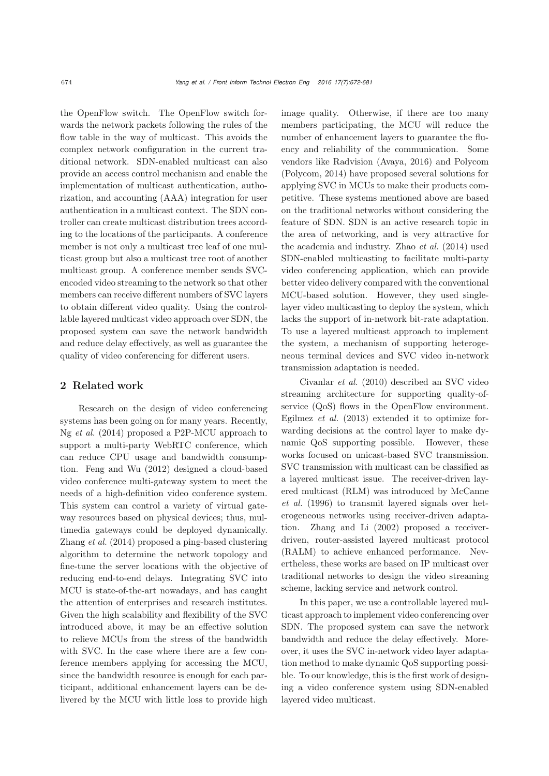the OpenFlow switch. The OpenFlow switch forwards the network packets following the rules of the flow table in the way of multicast. This avoids the complex network configuration in the current traditional network. SDN-enabled multicast can also provide an access control mechanism and enable the implementation of multicast authentication, authorization, and accounting (AAA) integration for user authentication in a multicast context. The SDN controller can create multicast distribution trees according to the locations of the participants. A conference member is not only a multicast tree leaf of one multicast group but also a multicast tree root of another multicast group. A conference member sends SVCencoded video streaming to the network so that other members can receive different numbers of SVC layers to obtain different video quality. Using the controllable layered multicast video approach over SDN, the proposed system can save the network bandwidth and reduce delay effectively, as well as guarantee the quality of video conferencing for different users.

## 2 Related work

Research on the design of video conferencing systems has been going on for many years. Recently, Ng *[et al.](#page-9-7)* [\(2014\)](#page-9-7) proposed a P2P-MCU approach to support a multi-party WebRTC conference, which can reduce CPU usage and bandwidth consumption. [Feng and Wu](#page-9-8) [\(2012\)](#page-9-8) designed a cloud-based video conference multi-gateway system to meet the needs of a high-definition video conference system. This system can control a variety of virtual gateway resources based on physical devices; thus, multimedia gateways could be deployed dynamically. [Zhang](#page-9-9) *et al.* [\(2014\)](#page-9-9) proposed a ping-based clustering algorithm to determine the network topology and fine-tune the server locations with the objective of reducing end-to-end delays. Integrating SVC into MCU is state-of-the-art nowadays, and has caught the attention of enterprises and research institutes. Given the high scalability and flexibility of the SVC introduced above, it may be an effective solution to relieve MCUs from the stress of the bandwidth with SVC. In the case where there are a few conference members applying for accessing the MCU, since the bandwidth resource is enough for each participant, additional enhancement layers can be delivered by the MCU with little loss to provide high

image quality. Otherwise, if there are too many members participating, the MCU will reduce the number of enhancement layers to guarantee the fluency and reliability of the communication. Some vendors like Radvision [\(Avaya](#page-9-10), [2016](#page-9-10)) and Polycom [\(Polycom](#page-9-11), [2014](#page-9-11)) have proposed several solutions for applying SVC in MCUs to make their products competitive. These systems mentioned above are based on the traditional networks without considering the feature of SDN. SDN is an active research topic in the area of networking, and is very attractive for the academia and industry. [Zhao](#page-9-12) *et al.* [\(2014\)](#page-9-12) used SDN-enabled multicasting to facilitate multi-party video conferencing application, which can provide better video delivery compared with the conventional MCU-based solution. However, they used singlelayer video multicasting to deploy the system, which lacks the support of in-network bit-rate adaptation. To use a layered multicast approach to implement the system, a mechanism of supporting heterogeneous terminal devices and SVC video in-network transmission adaptation is needed.

Civanlar *et al.* [\(2010](#page-9-13)) described an SVC video streaming architecture for supporting quality-ofservice (QoS) flows in the OpenFlow environment. [Egilmez](#page-9-14) *et al.* [\(2013](#page-9-14)) extended it to optimize forwarding decisions at the control layer to make dynamic QoS supporting possible. However, these works focused on unicast-based SVC transmission. SVC transmission with multicast can be classified as a layered multicast issue. The receiver-driven layered [multicast](#page-9-15) [\(RLM\)](#page-9-15) [was](#page-9-15) [introduced](#page-9-15) [by](#page-9-15) McCanne *et al.* [\(1996](#page-9-15)) to transmit layered signals over heterogeneous networks using receiver-driven adaptation. [Zhang and Li](#page-9-16) [\(2002](#page-9-16)) proposed a receiverdriven, router-assisted layered multicast protocol (RALM) to achieve enhanced performance. Nevertheless, these works are based on IP multicast over traditional networks to design the video streaming scheme, lacking service and network control.

In this paper, we use a controllable layered multicast approach to implement video conferencing over SDN. The proposed system can save the network bandwidth and reduce the delay effectively. Moreover, it uses the SVC in-network video layer adaptation method to make dynamic QoS supporting possible. To our knowledge, this is the first work of designing a video conference system using SDN-enabled layered video multicast.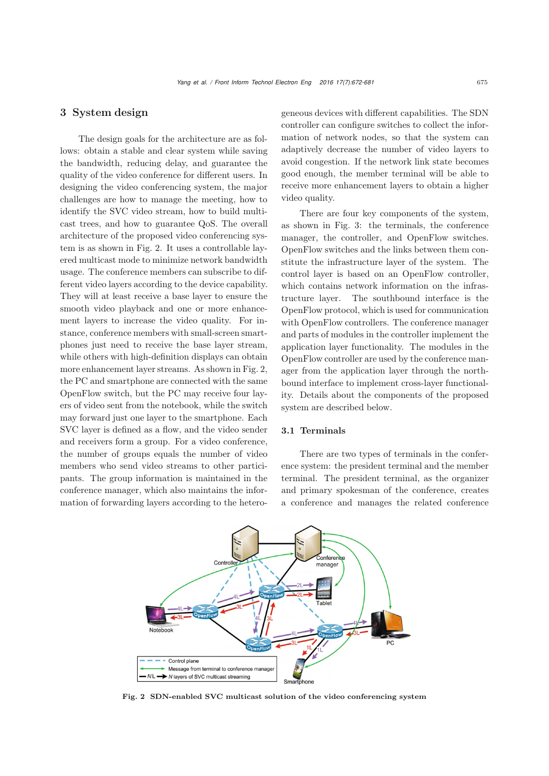# 3 System design

The design goals for the architecture are as follows: obtain a stable and clear system while saving the bandwidth, reducing delay, and guarantee the quality of the video conference for different users. In designing the video conferencing system, the major challenges are how to manage the meeting, how to identify the SVC video stream, how to build multicast trees, and how to guarantee QoS. The overall architecture of the proposed video conferencing system is as shown in Fig. [2.](#page-3-0) It uses a controllable layered multicast mode to minimize network bandwidth usage. The conference members can subscribe to different video layers according to the device capability. They will at least receive a base layer to ensure the smooth video playback and one or more enhancement layers to increase the video quality. For instance, conference members with small-screen smartphones just need to receive the base layer stream, while others with high-definition displays can obtain more enhancement layer streams. As shown in Fig. [2,](#page-3-0) the PC and smartphone are connected with the same OpenFlow switch, but the PC may receive four layers of video sent from the notebook, while the switch may forward just one layer to the smartphone. Each SVC layer is defined as a flow, and the video sender and receivers form a group. For a video conference, the number of groups equals the number of video members who send video streams to other participants. The group information is maintained in the conference manager, which also maintains the information of forwarding layers according to the heterogeneous devices with different capabilities. The SDN controller can configure switches to collect the information of network nodes, so that the system can adaptively decrease the number of video layers to avoid congestion. If the network link state becomes good enough, the member terminal will be able to receive more enhancement layers to obtain a higher video quality.

There are four key components of the system, as shown in Fig. [3:](#page-4-0) the terminals, the conference manager, the controller, and OpenFlow switches. OpenFlow switches and the links between them constitute the infrastructure layer of the system. The control layer is based on an OpenFlow controller, which contains network information on the infrastructure layer. The southbound interface is the OpenFlow protocol, which is used for communication with OpenFlow controllers. The conference manager and parts of modules in the controller implement the application layer functionality. The modules in the OpenFlow controller are used by the conference manager from the application layer through the northbound interface to implement cross-layer functionality. Details about the components of the proposed system are described below.

# 3.1 Terminals

There are two types of terminals in the conference system: the president terminal and the member terminal. The president terminal, as the organizer and primary spokesman of the conference, creates a conference and manages the related conference



<span id="page-3-0"></span>Fig. 2 SDN-enabled SVC multicast solution of the video conferencing system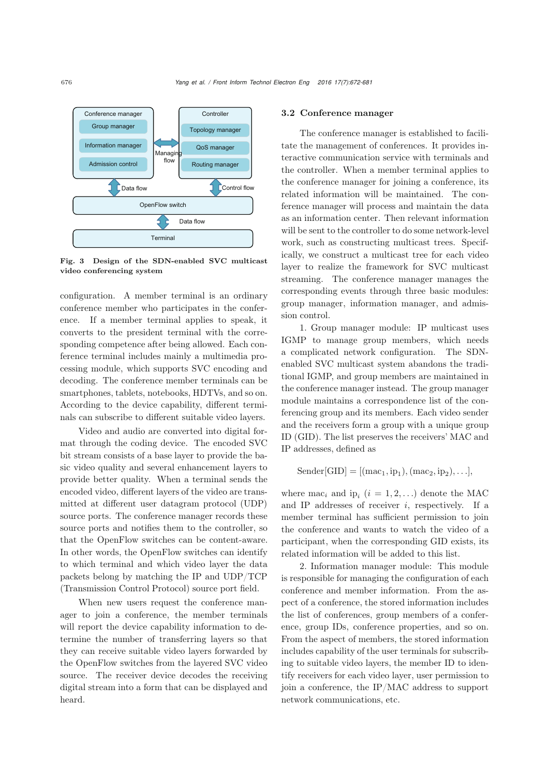

<span id="page-4-0"></span>Fig. 3 Design of the SDN-enabled SVC multicast video conferencing system

configuration. A member terminal is an ordinary conference member who participates in the conference. If a member terminal applies to speak, it converts to the president terminal with the corresponding competence after being allowed. Each conference terminal includes mainly a multimedia processing module, which supports SVC encoding and decoding. The conference member terminals can be smartphones, tablets, notebooks, HDTVs, and so on. According to the device capability, different terminals can subscribe to different suitable video layers.

Video and audio are converted into digital format through the coding device. The encoded SVC bit stream consists of a base layer to provide the basic video quality and several enhancement layers to provide better quality. When a terminal sends the encoded video, different layers of the video are transmitted at different user datagram protocol (UDP) source ports. The conference manager records these source ports and notifies them to the controller, so that the OpenFlow switches can be content-aware. In other words, the OpenFlow switches can identify to which terminal and which video layer the data packets belong by matching the IP and UDP/TCP (Transmission Control Protocol) source port field.

When new users request the conference manager to join a conference, the member terminals will report the device capability information to determine the number of transferring layers so that they can receive suitable video layers forwarded by the OpenFlow switches from the layered SVC video source. The receiver device decodes the receiving digital stream into a form that can be displayed and heard.

### 3.2 Conference manager

The conference manager is established to facilitate the management of conferences. It provides interactive communication service with terminals and the controller. When a member terminal applies to the conference manager for joining a conference, its related information will be maintained. The conference manager will process and maintain the data as an information center. Then relevant information will be sent to the controller to do some network-level work, such as constructing multicast trees. Specifically, we construct a multicast tree for each video layer to realize the framework for SVC multicast streaming. The conference manager manages the corresponding events through three basic modules: group manager, information manager, and admission control.

1. Group manager module: IP multicast uses IGMP to manage group members, which needs a complicated network configuration. The SDNenabled SVC multicast system abandons the traditional IGMP, and group members are maintained in the conference manager instead. The group manager module maintains a correspondence list of the conferencing group and its members. Each video sender and the receivers form a group with a unique group ID (GID). The list preserves the receivers' MAC and IP addresses, defined as

$$
Sender[GID] = [(mac_1, ip_1), (mac_2, ip_2), \ldots],
$$

where mac<sub>*i*</sub> and ip<sub>*i*</sub>  $(i = 1, 2, ...)$  denote the MAC and IP addresses of receiver *i*, respectively. If a member terminal has sufficient permission to join the conference and wants to watch the video of a participant, when the corresponding GID exists, its related information will be added to this list.

2. Information manager module: This module is responsible for managing the configuration of each conference and member information. From the aspect of a conference, the stored information includes the list of conferences, group members of a conference, group IDs, conference properties, and so on. From the aspect of members, the stored information includes capability of the user terminals for subscribing to suitable video layers, the member ID to identify receivers for each video layer, user permission to join a conference, the IP/MAC address to support network communications, etc.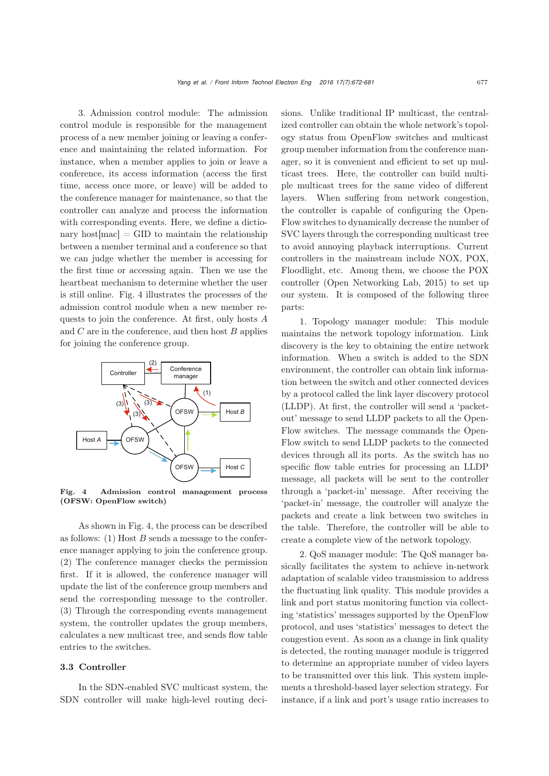3. Admission control module: The admission control module is responsible for the management process of a new member joining or leaving a conference and maintaining the related information. For instance, when a member applies to join or leave a conference, its access information (access the first time, access once more, or leave) will be added to the conference manager for maintenance, so that the controller can analyze and process the information with corresponding events. Here, we define a dictionary host ${\rm [mac]} = {\rm GID}$  to maintain the relationship between a member terminal and a conference so that we can judge whether the member is accessing for the first time or accessing again. Then we use the heartbeat mechanism to determine whether the user is still online. Fig. [4](#page-5-0) illustrates the processes of the admission control module when a new member requests to join the conference. At first, only hosts *A* and *C* are in the conference, and then host *B* applies for joining the conference group.



<span id="page-5-0"></span>Fig. 4 Admission control management process (OFSW: OpenFlow switch)

As shown in Fig. [4,](#page-5-0) the process can be described as follows: (1) Host *B* sends a message to the conference manager applying to join the conference group. (2) The conference manager checks the permission first. If it is allowed, the conference manager will update the list of the conference group members and send the corresponding message to the controller. (3) Through the corresponding events management system, the controller updates the group members, calculates a new multicast tree, and sends flow table entries to the switches.

## 3.3 Controller

In the SDN-enabled SVC multicast system, the SDN controller will make high-level routing decisions. Unlike traditional IP multicast, the centralized controller can obtain the whole network's topology status from OpenFlow switches and multicast group member information from the conference manager, so it is convenient and efficient to set up multicast trees. Here, the controller can build multiple multicast trees for the same video of different layers. When suffering from network congestion, the controller is capable of configuring the Open-Flow switches to dynamically decrease the number of SVC layers through the corresponding multicast tree to avoid annoying playback interruptions. Current controllers in the mainstream include NOX, POX, Floodlight, etc. Among them, we choose the POX controller [\(Open Networking Lab, 2015\)](#page-9-17) to set up our system. It is composed of the following three parts:

1. Topology manager module: This module maintains the network topology information. Link discovery is the key to obtaining the entire network information. When a switch is added to the SDN environment, the controller can obtain link information between the switch and other connected devices by a protocol called the link layer discovery protocol (LLDP). At first, the controller will send a 'packetout' message to send LLDP packets to all the Open-Flow switches. The message commands the Open-Flow switch to send LLDP packets to the connected devices through all its ports. As the switch has no specific flow table entries for processing an LLDP message, all packets will be sent to the controller through a 'packet-in' message. After receiving the 'packet-in' message, the controller will analyze the packets and create a link between two switches in the table. Therefore, the controller will be able to create a complete view of the network topology.

2. QoS manager module: The QoS manager basically facilitates the system to achieve in-network adaptation of scalable video transmission to address the fluctuating link quality. This module provides a link and port status monitoring function via collecting 'statistics' messages supported by the OpenFlow protocol, and uses 'statistics' messages to detect the congestion event. As soon as a change in link quality is detected, the routing manager module is triggered to determine an appropriate number of video layers to be transmitted over this link. This system implements a threshold-based layer selection strategy. For instance, if a link and port's usage ratio increases to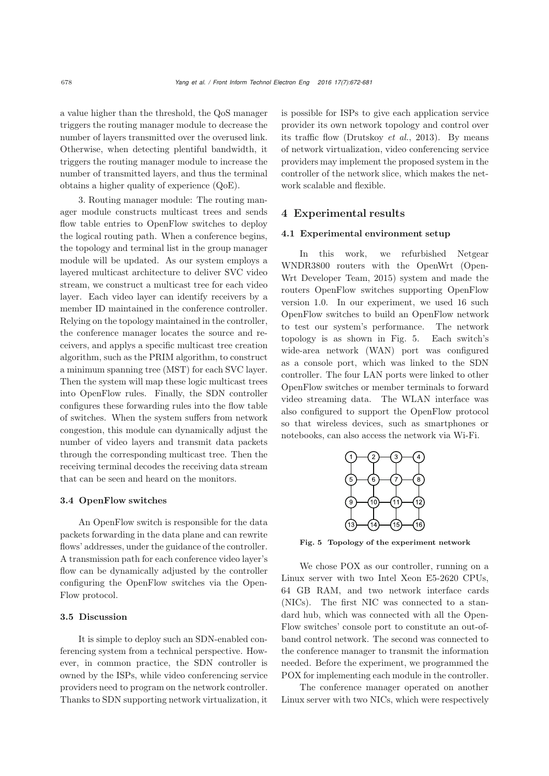a value higher than the threshold, the QoS manager triggers the routing manager module to decrease the number of layers transmitted over the overused link. Otherwise, when detecting plentiful bandwidth, it triggers the routing manager module to increase the number of transmitted layers, and thus the terminal obtains a higher quality of experience (QoE).

3. Routing manager module: The routing manager module constructs multicast trees and sends flow table entries to OpenFlow switches to deploy the logical routing path. When a conference begins, the topology and terminal list in the group manager module will be updated. As our system employs a layered multicast architecture to deliver SVC video stream, we construct a multicast tree for each video layer. Each video layer can identify receivers by a member ID maintained in the conference controller. Relying on the topology maintained in the controller, the conference manager locates the source and receivers, and applys a specific multicast tree creation algorithm, such as the PRIM algorithm, to construct a minimum spanning tree (MST) for each SVC layer. Then the system will map these logic multicast trees into OpenFlow rules. Finally, the SDN controller configures these forwarding rules into the flow table of switches. When the system suffers from network congestion, this module can dynamically adjust the number of video layers and transmit data packets through the corresponding multicast tree. Then the receiving terminal decodes the receiving data stream that can be seen and heard on the monitors.

## 3.4 OpenFlow switches

An OpenFlow switch is responsible for the data packets forwarding in the data plane and can rewrite flows' addresses, under the guidance of the controller. A transmission path for each conference video layer's flow can be dynamically adjusted by the controller configuring the OpenFlow switches via the Open-Flow protocol.

#### 3.5 Discussion

It is simple to deploy such an SDN-enabled conferencing system from a technical perspective. However, in common practice, the SDN controller is owned by the ISPs, while video conferencing service providers need to program on the network controller. Thanks to SDN supporting network virtualization, it

is possible for ISPs to give each application service provider its own network topology and control over its traffic flow [\(Drutskoy](#page-9-18) *et al.*, [2013\)](#page-9-18). By means of network virtualization, video conferencing service providers may implement the proposed system in the controller of the network slice, which makes the network scalable and flexible.

# 4 Experimental results

## 4.1 Experimental environment setup

In this work, we refurbished Netgear WNDR3800 routers [with](#page-9-19) [the](#page-9-19) [OpenWrt](#page-9-19) [\(](#page-9-19)Open-Wrt Developer Team, [2015\)](#page-9-19) system and made the routers OpenFlow switches supporting OpenFlow version 1.0. In our experiment, we used 16 such OpenFlow switches to build an OpenFlow network to test our system's performance. The network topology is as shown in Fig. [5.](#page-6-0) Each switch's wide-area network (WAN) port was configured as a console port, which was linked to the SDN controller. The four LAN ports were linked to other OpenFlow switches or member terminals to forward video streaming data. The WLAN interface was also configured to support the OpenFlow protocol so that wireless devices, such as smartphones or notebooks, can also access the network via Wi-Fi.



<span id="page-6-0"></span>Fig. 5 Topology of the experiment network

We chose POX as our controller, running on a Linux server with two Intel Xeon E5-2620 CPUs, 64 GB RAM, and two network interface cards (NICs). The first NIC was connected to a standard hub, which was connected with all the Open-Flow switches' console port to constitute an out-ofband control network. The second was connected to the conference manager to transmit the information needed. Before the experiment, we programmed the POX for implementing each module in the controller.

The conference manager operated on another Linux server with two NICs, which were respectively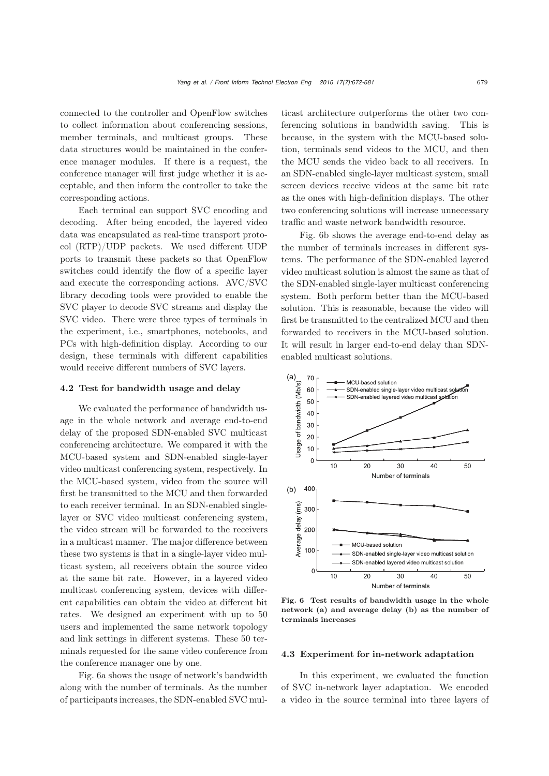connected to the controller and OpenFlow switches to collect information about conferencing sessions, member terminals, and multicast groups. These data structures would be maintained in the conference manager modules. If there is a request, the conference manager will first judge whether it is acceptable, and then inform the controller to take the corresponding actions.

Each terminal can support SVC encoding and decoding. After being encoded, the layered video data was encapsulated as real-time transport protocol (RTP)/UDP packets. We used different UDP ports to transmit these packets so that OpenFlow switches could identify the flow of a specific layer and execute the corresponding actions. AVC/SVC library decoding tools were provided to enable the SVC player to decode SVC streams and display the SVC video. There were three types of terminals in the experiment, i.e., smartphones, notebooks, and PCs with high-definition display. According to our design, these terminals with different capabilities would receive different numbers of SVC layers.

# 4.2 Test for bandwidth usage and delay

We evaluated the performance of bandwidth usage in the whole network and average end-to-end delay of the proposed SDN-enabled SVC multicast conferencing architecture. We compared it with the MCU-based system and SDN-enabled single-layer video multicast conferencing system, respectively. In the MCU-based system, video from the source will first be transmitted to the MCU and then forwarded to each receiver terminal. In an SDN-enabled singlelayer or SVC video multicast conferencing system, the video stream will be forwarded to the receivers in a multicast manner. The major difference between these two systems is that in a single-layer video multicast system, all receivers obtain the source video at the same bit rate. However, in a layered video multicast conferencing system, devices with different capabilities can obtain the video at different bit rates. We designed an experiment with up to 50 users and implemented the same network topology and link settings in different systems. These 50 terminals requested for the same video conference from the conference manager one by one.

Fig. [6a](#page-7-0) shows the usage of network's bandwidth along with the number of terminals. As the number of participants increases, the SDN-enabled SVC multicast architecture outperforms the other two conferencing solutions in bandwidth saving. This is because, in the system with the MCU-based solution, terminals send videos to the MCU, and then the MCU sends the video back to all receivers. In an SDN-enabled single-layer multicast system, small screen devices receive videos at the same bit rate as the ones with high-definition displays. The other two conferencing solutions will increase unnecessary traffic and waste network bandwidth resource.

Fig. [6b](#page-7-0) shows the average end-to-end delay as the number of terminals increases in different systems. The performance of the SDN-enabled layered video multicast solution is almost the same as that of the SDN-enabled single-layer multicast conferencing system. Both perform better than the MCU-based solution. This is reasonable, because the video will first be transmitted to the centralized MCU and then forwarded to receivers in the MCU-based solution. It will result in larger end-to-end delay than SDNenabled multicast solutions.



<span id="page-7-0"></span>Fig. 6 Test results of bandwidth usage in the whole network (a) and average delay (b) as the number of terminals increases

## 4.3 Experiment for in-network adaptation

In this experiment, we evaluated the function of SVC in-network layer adaptation. We encoded a video in the source terminal into three layers of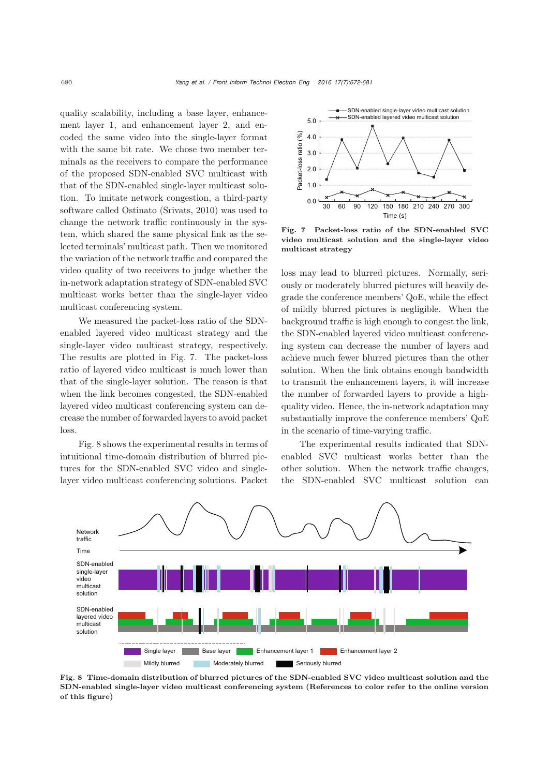quality scalability, including a base layer, enhancement layer 1, and enhancement layer 2, and encoded the same video into the single-layer format with the same bit rate. We chose two member terminals as the receivers to compare the performance of the proposed SDN-enabled SVC multicast with that of the SDN-enabled single-layer multicast solution. To imitate network congestion, a third-party software called Ostinato [\(Srivats, 2010\)](#page-9-20) was used to change the network traffic continuously in the system, which shared the same physical link as the selected terminals' multicast path. Then we monitored the variation of the network traffic and compared the video quality of two receivers to judge whether the in-network adaptation strategy of SDN-enabled SVC multicast works better than the single-layer video multicast conferencing system.

We measured the packet-loss ratio of the SDNenabled layered video multicast strategy and the single-layer video multicast strategy, respectively. The results are plotted in Fig. [7.](#page-8-0) The packet-loss ratio of layered video multicast is much lower than that of the single-layer solution. The reason is that when the link becomes congested, the SDN-enabled layered video multicast conferencing system can decrease the number of forwarded layers to avoid packet loss.

Fig. [8](#page-8-1) shows the experimental results in terms of intuitional time-domain distribution of blurred pictures for the SDN-enabled SVC video and singlelayer video multicast conferencing solutions. Packet



<span id="page-8-0"></span>Fig. 7 Packet-loss ratio of the SDN-enabled SVC video multicast solution and the single-layer video multicast strategy

loss may lead to blurred pictures. Normally, seriously or moderately blurred pictures will heavily degrade the conference members' QoE, while the effect of mildly blurred pictures is negligible. When the background traffic is high enough to congest the link, the SDN-enabled layered video multicast conferencing system can decrease the number of layers and achieve much fewer blurred pictures than the other solution. When the link obtains enough bandwidth to transmit the enhancement layers, it will increase the number of forwarded layers to provide a highquality video. Hence, the in-network adaptation may substantially improve the conference members' QoE in the scenario of time-varying traffic.

The experimental results indicated that SDNenabled SVC multicast works better than the other solution. When the network traffic changes, the SDN-enabled SVC multicast solution can



<span id="page-8-1"></span>Fig. 8 Time-domain distribution of blurred pictures of the SDN-enabled SVC video multicast solution and the SDN-enabled single-layer video multicast conferencing system (References to color refer to the online version of this figure)